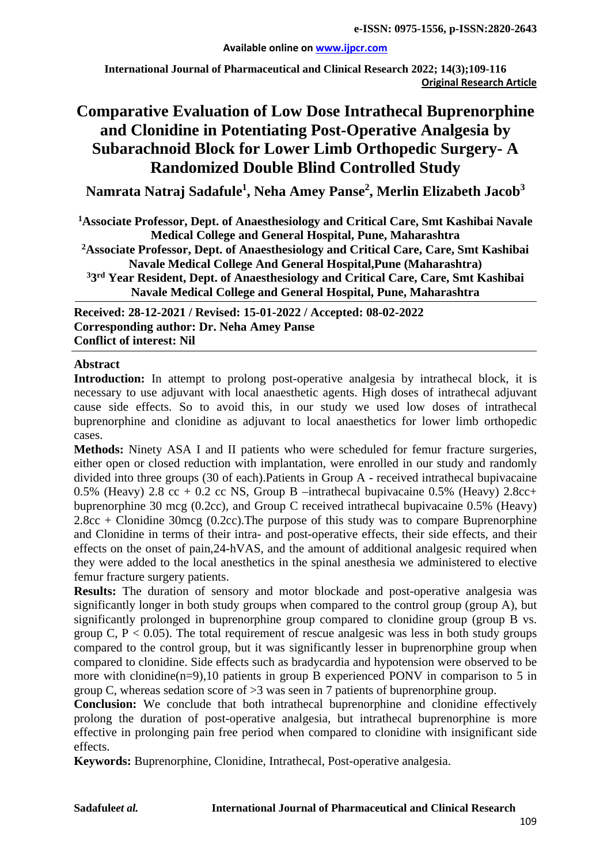#### **Available online on [www.ijpcr.com](http://www.ijpcr.com/)**

**International Journal of Pharmaceutical and Clinical Research 2022; 14(3);109-116 Original Research Article**

# **Comparative Evaluation of Low Dose Intrathecal Buprenorphine and Clonidine in Potentiating Post-Operative Analgesia by Subarachnoid Block for Lower Limb Orthopedic Surgery- A Randomized Double Blind Controlled Study**

**Namrata Natraj Sadafule1 , Neha Amey Panse2 , Merlin Elizabeth Jacob<sup>3</sup>**

**1Associate Professor, Dept. of Anaesthesiology and Critical Care, Smt Kashibai Navale Medical College and General Hospital, Pune, Maharashtra**

**2Associate Professor, Dept. of Anaesthesiology and Critical Care, Care, Smt Kashibai Navale Medical College And General Hospital,Pune (Maharashtra)**

**33rd Year Resident, Dept. of Anaesthesiology and Critical Care, Care, Smt Kashibai Navale Medical College and General Hospital, Pune, Maharashtra**

**Received: 28-12-2021 / Revised: 15-01-2022 / Accepted: 08-02-2022 Corresponding author: Dr. Neha Amey Panse Conflict of interest: Nil**

## **Abstract**

Introduction: In attempt to prolong post-operative analgesia by intrathecal block, it is necessary to use adjuvant with local anaesthetic agents. High doses of intrathecal adjuvant cause side effects. So to avoid this, in our study we used low doses of intrathecal buprenorphine and clonidine as adjuvant to local anaesthetics for lower limb orthopedic cases.

**Methods:** Ninety ASA I and II patients who were scheduled for femur fracture surgeries, either open or closed reduction with implantation, were enrolled in our study and randomly divided into three groups (30 of each).Patients in Group A - received intrathecal bupivacaine 0.5% (Heavy) 2.8 cc + 0.2 cc NS, Group B –intrathecal bupivacaine 0.5% (Heavy) 2.8cc+ buprenorphine 30 mcg (0.2cc), and Group C received intrathecal bupivacaine 0.5% (Heavy) 2.8cc + Clonidine 30mcg (0.2cc).The purpose of this study was to compare Buprenorphine and Clonidine in terms of their intra- and post-operative effects, their side effects, and their effects on the onset of pain,24-hVAS, and the amount of additional analgesic required when they were added to the local anesthetics in the spinal anesthesia we administered to elective femur fracture surgery patients.

**Results:** The duration of sensory and motor blockade and post-operative analgesia was significantly longer in both study groups when compared to the control group (group A), but significantly prolonged in buprenorphine group compared to clonidine group (group B vs. group C,  $P < 0.05$ ). The total requirement of rescue analgesic was less in both study groups compared to the control group, but it was significantly lesser in buprenorphine group when compared to clonidine. Side effects such as bradycardia and hypotension were observed to be more with clonidine(n=9),10 patients in group B experienced PONV in comparison to 5 in group C, whereas sedation score of >3 was seen in 7 patients of buprenorphine group.

**Conclusion:** We conclude that both intrathecal buprenorphine and clonidine effectively prolong the duration of post-operative analgesia, but intrathecal buprenorphine is more effective in prolonging pain free period when compared to clonidine with insignificant side effects.

**Keywords:** Buprenorphine, Clonidine, Intrathecal, Post-operative analgesia.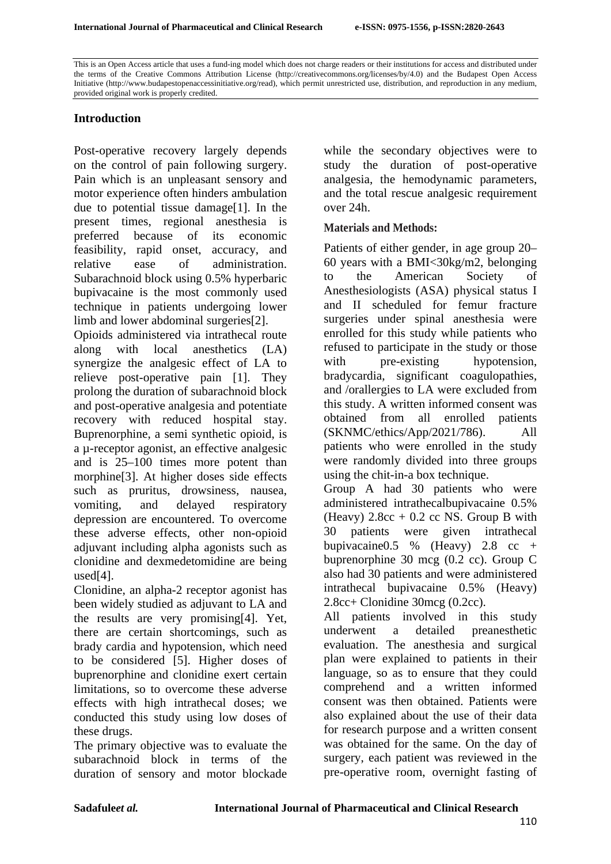This is an Open Access article that uses a fund-ing model which does not charge readers or their institutions for access and distributed under the terms of the Creative Commons Attribution License (http://creativecommons.org/licenses/by/4.0) and the Budapest Open Access Initiative (http://www.budapestopenaccessinitiative.org/read), which permit unrestricted use, distribution, and reproduction in any medium, provided original work is properly credited.

# **Introduction**

Post-operative recovery largely depends on the control of pain following surgery. Pain which is an unpleasant sensory and motor experience often hinders ambulation due to potential tissue damage[1]. In the present times, regional anesthesia is preferred because of its economic feasibility, rapid onset, accuracy, and relative ease of administration. Subarachnoid block using 0.5% hyperbaric bupivacaine is the most commonly used technique in patients undergoing lower limb and lower abdominal surgeries[2].

Opioids administered via intrathecal route along with local anesthetics (LA) synergize the analgesic effect of LA to relieve post-operative pain [1]. They prolong the duration of subarachnoid block and post-operative analgesia and potentiate recovery with reduced hospital stay. Buprenorphine, a semi synthetic opioid, is a µ-receptor agonist, an effective analgesic and is 25–100 times more potent than morphine[3]. At higher doses side effects such as pruritus, drowsiness, nausea, vomiting, and delayed respiratory depression are encountered. To overcome these adverse effects, other non-opioid adjuvant including alpha agonists such as clonidine and dexmedetomidine are being used[4].

Clonidine, an alpha-2 receptor agonist has been widely studied as adjuvant to LA and the results are very promising[4]. Yet, there are certain shortcomings, such as brady cardia and hypotension, which need to be considered [5]. Higher doses of buprenorphine and clonidine exert certain limitations, so to overcome these adverse effects with high intrathecal doses; we conducted this study using low doses of these drugs.

The primary objective was to evaluate the subarachnoid block in terms of the duration of sensory and motor blockade

while the secondary objectives were to study the duration of post-operative analgesia, the hemodynamic parameters, and the total rescue analgesic requirement over 24h.

#### **Materials and Methods:**

Patients of either gender, in age group 20– 60 years with a BMI<30kg/m2, belonging to the American Society of Anesthesiologists (ASA) physical status I and II scheduled for femur fracture surgeries under spinal anesthesia were enrolled for this study while patients who refused to participate in the study or those with pre-existing hypotension, bradycardia, significant coagulopathies, and /orallergies to LA were excluded from this study. A written informed consent was obtained from all enrolled patients (SKNMC/ethics/App/2021/786). All patients who were enrolled in the study were randomly divided into three groups using the chit-in-a box technique.

Group A had 30 patients who were administered intrathecalbupivacaine 0.5% (Heavy)  $2.8cc + 0.2$  cc NS. Group B with 30 patients were given intrathecal bupivacaine $0.5 \%$  (Heavy)  $2.8 \text{ cc } +$ buprenorphine 30 mcg (0.2 cc). Group C also had 30 patients and were administered intrathecal bupivacaine 0.5% (Heavy) 2.8cc+ Clonidine 30mcg (0.2cc).

All patients involved in this study underwent a detailed preanesthetic evaluation. The anesthesia and surgical plan were explained to patients in their language, so as to ensure that they could comprehend and a written informed consent was then obtained. Patients were also explained about the use of their data for research purpose and a written consent was obtained for the same. On the day of surgery, each patient was reviewed in the pre-operative room, overnight fasting of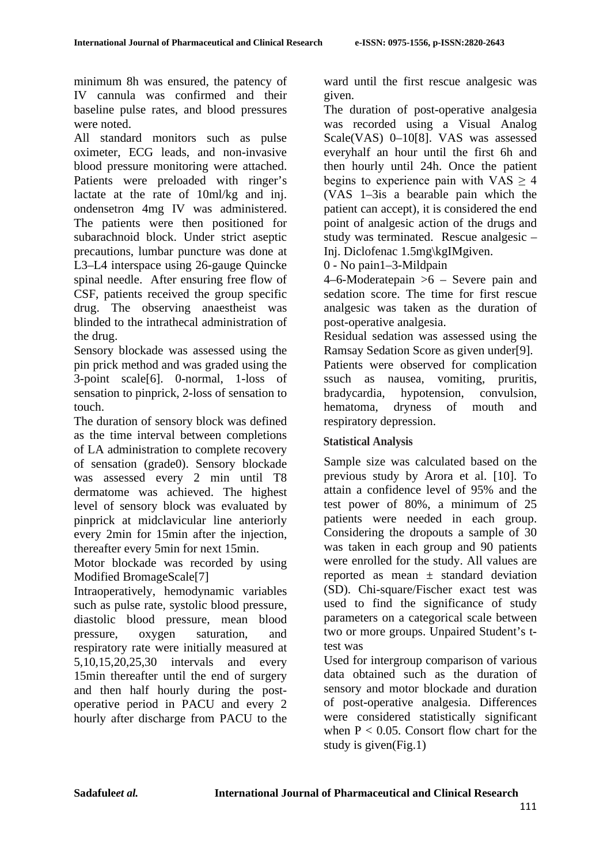minimum 8h was ensured, the patency of IV cannula was confirmed and their baseline pulse rates, and blood pressures were noted.

All standard monitors such as pulse oximeter, ECG leads, and non-invasive blood pressure monitoring were attached. Patients were preloaded with ringer's lactate at the rate of 10ml/kg and inj. ondensetron 4mg IV was administered. The patients were then positioned for subarachnoid block. Under strict aseptic precautions, lumbar puncture was done at L3–L4 interspace using 26-gauge Quincke spinal needle. After ensuring free flow of CSF, patients received the group specific drug. The observing anaestheist was blinded to the intrathecal administration of the drug.

Sensory blockade was assessed using the pin prick method and was graded using the 3-point scale[6]. 0-normal, 1-loss of sensation to pinprick, 2-loss of sensation to touch.

The duration of sensory block was defined as the time interval between completions of LA administration to complete recovery of sensation (grade0). Sensory blockade was assessed every 2 min until T8 dermatome was achieved. The highest level of sensory block was evaluated by pinprick at midclavicular line anteriorly every 2min for 15min after the injection, thereafter every 5min for next 15min.

Motor blockade was recorded by using Modified BromageScale[7]

Intraoperatively, hemodynamic variables such as pulse rate, systolic blood pressure, diastolic blood pressure, mean blood pressure, oxygen saturation, and respiratory rate were initially measured at 5,10,15,20,25,30 intervals and every 15min thereafter until the end of surgery and then half hourly during the postoperative period in PACU and every 2 hourly after discharge from PACU to the ward until the first rescue analgesic was given.

The duration of post-operative analgesia was recorded using a Visual Analog Scale(VAS) 0–10[8]. VAS was assessed everyhalf an hour until the first 6h and then hourly until 24h. Once the patient begins to experience pain with  $VAS > 4$ (VAS 1–3is a bearable pain which the patient can accept), it is considered the end point of analgesic action of the drugs and study was terminated. Rescue analgesic – Inj. Diclofenac 1.5mg\kgIMgiven.

0 - No pain1–3-Mildpain

4–6-Moderatepain >6 – Severe pain and sedation score. The time for first rescue analgesic was taken as the duration of post-operative analgesia.

Residual sedation was assessed using the Ramsay Sedation Score as given under[9].

Patients were observed for complication ssuch as nausea, vomiting, pruritis, bradycardia, hypotension, convulsion, hematoma, dryness of mouth and respiratory depression.

# **Statistical Analysis**

Sample size was calculated based on the previous study by Arora et al. [10]. To attain a confidence level of 95% and the test power of 80%, a minimum of 25 patients were needed in each group. Considering the dropouts a sample of 30 was taken in each group and 90 patients were enrolled for the study. All values are reported as mean  $\pm$  standard deviation (SD). Chi-square/Fischer exact test was used to find the significance of study parameters on a categorical scale between two or more groups. Unpaired Student's ttest was

Used for intergroup comparison of various data obtained such as the duration of sensory and motor blockade and duration of post-operative analgesia. Differences were considered statistically significant when  $P < 0.05$ . Consort flow chart for the study is given(Fig.1)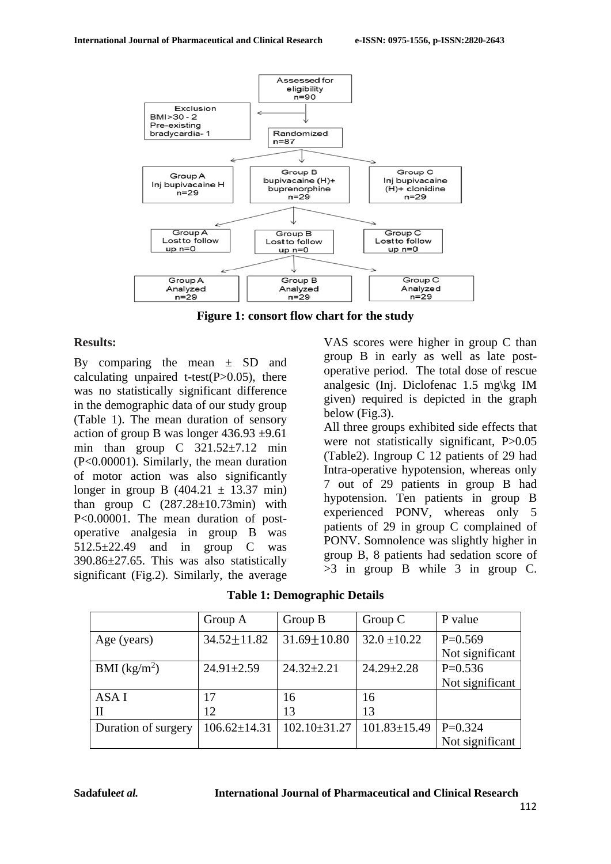

**Figure 1: consort flow chart for the study**

## **Results:**

By comparing the mean  $\pm$  SD and calculating unpaired t-test $(P>0.05)$ , there was no statistically significant difference in the demographic data of our study group (Table 1). The mean duration of sensory action of group B was longer  $436.93 \pm 9.61$ min than group C 321.52±7.12 min (P<0.00001). Similarly, the mean duration of motor action was also significantly longer in group B  $(404.21 \pm 13.37 \text{ min})$ than group  $C$   $(287.28 \pm 10.73 \text{min})$  with P<0.00001. The mean duration of postoperative analgesia in group B was  $512.5\pm 22.49$  and in group C was 390.86±27.65. This was also statistically significant (Fig.2). Similarly, the average

VAS scores were higher in group C than group B in early as well as late postoperative period. The total dose of rescue analgesic (Inj. Diclofenac 1.5 mg\kg IM given) required is depicted in the graph below (Fig.3).

All three groups exhibited side effects that were not statistically significant, P $>0.05$ (Table2). Ingroup C 12 patients of 29 had Intra-operative hypotension, whereas only 7 out of 29 patients in group B had hypotension. Ten patients in group B experienced PONV, whereas only 5 patients of 29 in group C complained of PONV. Somnolence was slightly higher in group B, 8 patients had sedation score of >3 in group B while 3 in group C.

**Table 1: Demographic Details**

|                     | Group A            | Group B           | Group $C$          | P value         |
|---------------------|--------------------|-------------------|--------------------|-----------------|
| Age (years)         | $34.52 \pm 11.82$  | $31.69 \pm 10.80$ | $32.0 \pm 10.22$   | $P=0.569$       |
|                     |                    |                   |                    | Not significant |
| BMI $(kg/m2)$       | $24.91 \pm 2.59$   | $24.32 \pm 2.21$  | $24.29 \pm 2.28$   | $P=0.536$       |
|                     |                    |                   |                    | Not significant |
| ASA I               | 17                 | 16                | 16                 |                 |
| П                   | 12                 | 13                | 13                 |                 |
| Duration of surgery | $106.62 \pm 14.31$ | $102.10\pm31.27$  | $101.83 \pm 15.49$ | $P=0.324$       |
|                     |                    |                   |                    | Not significant |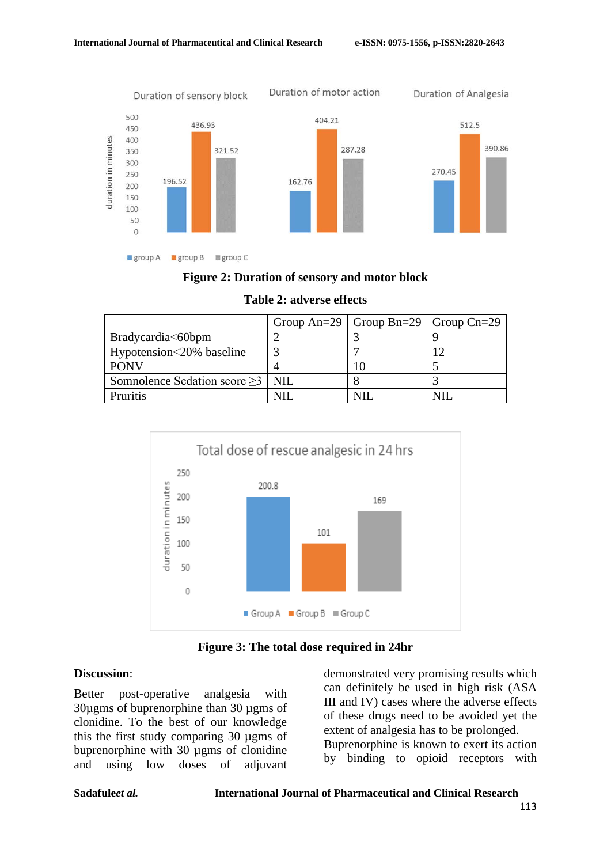

## **Figure 2: Duration of sensory and motor block**

|                                          | Group An=29   Group Bn=29   Group Cn=29 |  |
|------------------------------------------|-----------------------------------------|--|
| Bradycardia<60bpm                        |                                         |  |
| Hypotension<20% baseline                 |                                         |  |
| <b>PONV</b>                              |                                         |  |
| Somnolence Sedation score $\geq$ 3   NIL |                                         |  |
| Pruritis                                 |                                         |  |

#### **Table 2: adverse effects**



**Figure 3: The total dose required in 24hr**

#### **Discussion**:

Better post-operative analgesia with 30µgms of buprenorphine than 30 µgms of clonidine. To the best of our knowledge this the first study comparing 30 µgms of buprenorphine with 30 µgms of clonidine and using low doses of adjuvant demonstrated very promising results which can definitely be used in high risk (ASA III and IV) cases where the adverse effects of these drugs need to be avoided yet the extent of analgesia has to be prolonged. Buprenorphine is known to exert its action by binding to opioid receptors with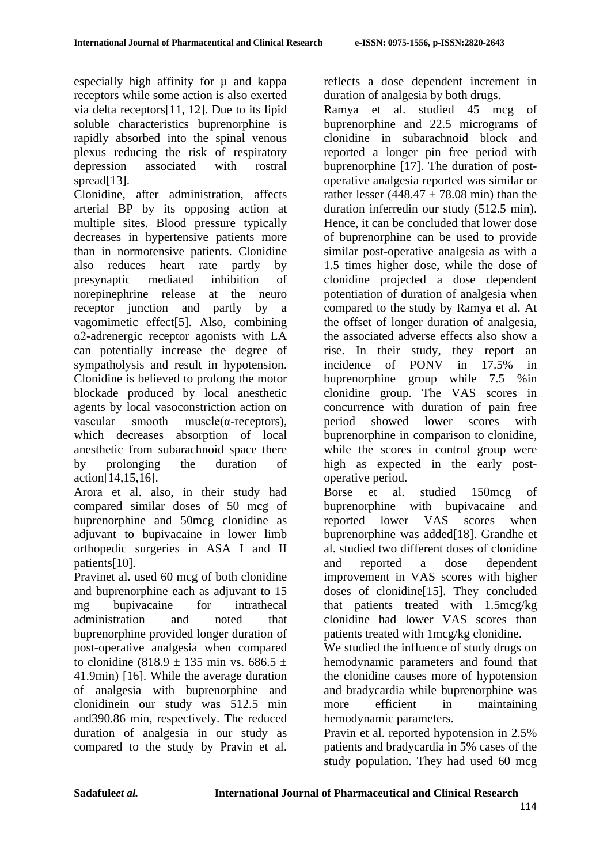especially high affinity for  $\mu$  and kappa receptors while some action is also exerted via delta receptors[11, 12]. Due to its lipid soluble characteristics buprenorphine is rapidly absorbed into the spinal venous plexus reducing the risk of respiratory depression associated with rostral spread[13].

Clonidine, after administration, affects arterial BP by its opposing action at multiple sites. Blood pressure typically decreases in hypertensive patients more than in normotensive patients. Clonidine also reduces heart rate partly by presynaptic mediated inhibition of norepinephrine release at the neuro receptor junction and partly by a vagomimetic effect[5]. Also, combining α2-adrenergic receptor agonists with LA can potentially increase the degree of sympatholysis and result in hypotension. Clonidine is believed to prolong the motor blockade produced by local anesthetic agents by local vasoconstriction action on vascular smooth muscle( $\alpha$ -receptors), which decreases absorption of local anesthetic from subarachnoid space there by prolonging the duration of action[14,15,16].

Arora et al. also, in their study had compared similar doses of 50 mcg of buprenorphine and 50mcg clonidine as adjuvant to bupivacaine in lower limb orthopedic surgeries in ASA I and II patients[10].

Pravinet al. used 60 mcg of both clonidine and buprenorphine each as adjuvant to 15 mg bupivacaine for intrathecal administration and noted that buprenorphine provided longer duration of post-operative analgesia when compared to clonidine (818.9  $\pm$  135 min vs. 686.5  $\pm$ 41.9min) [16]. While the average duration of analgesia with buprenorphine and clonidinein our study was 512.5 min and390.86 min, respectively. The reduced duration of analgesia in our study as compared to the study by Pravin et al. reflects a dose dependent increment in duration of analgesia by both drugs.

Ramya et al. studied 45 mcg of buprenorphine and 22.5 micrograms of clonidine in subarachnoid block and reported a longer pin free period with buprenorphine [17]. The duration of postoperative analgesia reported was similar or rather lesser (448.47  $\pm$  78.08 min) than the duration inferredin our study (512.5 min). Hence, it can be concluded that lower dose of buprenorphine can be used to provide similar post-operative analgesia as with a 1.5 times higher dose, while the dose of clonidine projected a dose dependent potentiation of duration of analgesia when compared to the study by Ramya et al. At the offset of longer duration of analgesia, the associated adverse effects also show a rise. In their study, they report an incidence of PONV in 17.5% in buprenorphine group while 7.5 %in clonidine group. The VAS scores in concurrence with duration of pain free period showed lower scores with buprenorphine in comparison to clonidine, while the scores in control group were high as expected in the early postoperative period.

Borse et al. studied 150mcg of buprenorphine with bupivacaine and reported lower VAS scores when buprenorphine was added[18]. Grandhe et al. studied two different doses of clonidine and reported a dose dependent improvement in VAS scores with higher doses of clonidine[15]. They concluded that patients treated with 1.5mcg/kg clonidine had lower VAS scores than patients treated with 1mcg/kg clonidine.

We studied the influence of study drugs on hemodynamic parameters and found that the clonidine causes more of hypotension and bradycardia while buprenorphine was more efficient in maintaining hemodynamic parameters.

Pravin et al. reported hypotension in 2.5% patients and bradycardia in 5% cases of the study population. They had used 60 mcg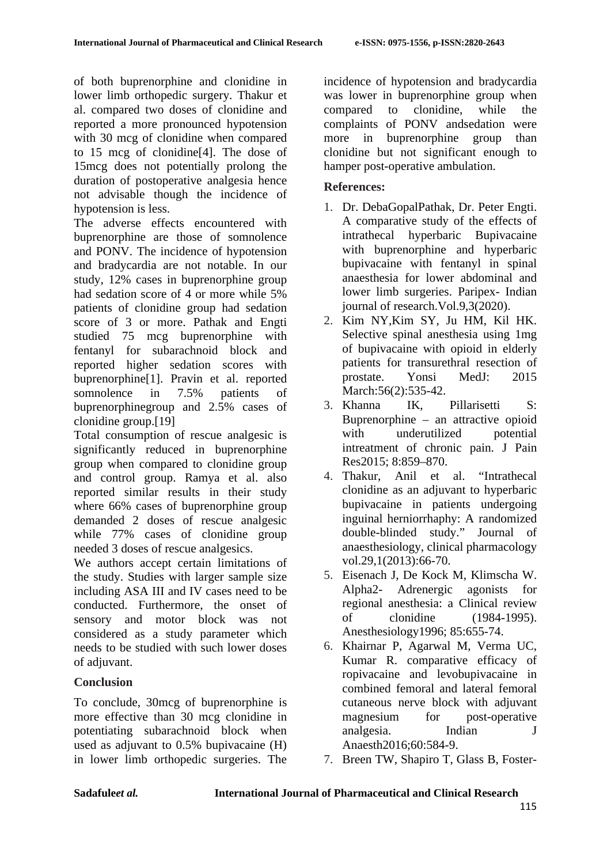of both buprenorphine and clonidine in lower limb orthopedic surgery. Thakur et al. compared two doses of clonidine and reported a more pronounced hypotension with 30 mcg of clonidine when compared to 15 mcg of clonidine[4]. The dose of 15mcg does not potentially prolong the duration of postoperative analgesia hence not advisable though the incidence of hypotension is less.

The adverse effects encountered with buprenorphine are those of somnolence and PONV. The incidence of hypotension and bradycardia are not notable. In our study, 12% cases in buprenorphine group had sedation score of 4 or more while 5% patients of clonidine group had sedation score of 3 or more. Pathak and Engti studied 75 mcg buprenorphine with fentanyl for subarachnoid block and reported higher sedation scores with buprenorphine[1]. Pravin et al. reported somnolence in 7.5% patients of buprenorphinegroup and 2.5% cases of clonidine group.[19]

Total consumption of rescue analgesic is significantly reduced in buprenorphine group when compared to clonidine group and control group. Ramya et al. also reported similar results in their study where 66% cases of buprenorphine group demanded 2 doses of rescue analgesic while 77% cases of clonidine group needed 3 doses of rescue analgesics.

We authors accept certain limitations of the study. Studies with larger sample size including ASA III and IV cases need to be conducted. Furthermore, the onset of sensory and motor block was not considered as a study parameter which needs to be studied with such lower doses of adjuvant.

# **Conclusion**

To conclude, 30mcg of buprenorphine is more effective than 30 mcg clonidine in potentiating subarachnoid block when used as adjuvant to 0.5% bupivacaine (H) in lower limb orthopedic surgeries. The incidence of hypotension and bradycardia was lower in buprenorphine group when compared to clonidine, while the complaints of PONV andsedation were more in buprenorphine group than clonidine but not significant enough to hamper post-operative ambulation.

## **References:**

- 1. Dr. DebaGopalPathak, Dr. Peter Engti. A comparative study of the effects of intrathecal hyperbaric Bupivacaine with buprenorphine and hyperbaric bupivacaine with fentanyl in spinal anaesthesia for lower abdominal and lower limb surgeries. Paripex- Indian journal of research.Vol.9,3(2020).
- 2. Kim NY,Kim SY, Ju HM, Kil HK. Selective spinal anesthesia using 1mg of bupivacaine with opioid in elderly patients for transurethral resection of prostate. Yonsi MedJ: 2015 March: 56(2): 535-42.
- 3. Khanna IK, Pillarisetti S: Buprenorphine – an attractive opioid<br>with underutilized potential with underutilized intreatment of chronic pain. J Pain Res2015; 8:859–870.
- 4. Thakur, Anil et al. "Intrathecal clonidine as an adjuvant to hyperbaric bupivacaine in patients undergoing inguinal herniorrhaphy: A randomized double-blinded study." Journal of anaesthesiology, clinical pharmacology vol.29,1(2013):66-70.
- 5. Eisenach J, De Kock M, Klimscha W. Alpha2- Adrenergic agonists for regional anesthesia: a Clinical review of clonidine (1984-1995). Anesthesiology1996; 85:655-74.
- 6. Khairnar P, Agarwal M, Verma UC, Kumar R. comparative efficacy of ropivacaine and levobupivacaine in combined femoral and lateral femoral cutaneous nerve block with adjuvant magnesium for post-operative analgesia. Indian J Anaesth2016;60:584-9.
- 7. Breen TW, Shapiro T, Glass B, Foster-